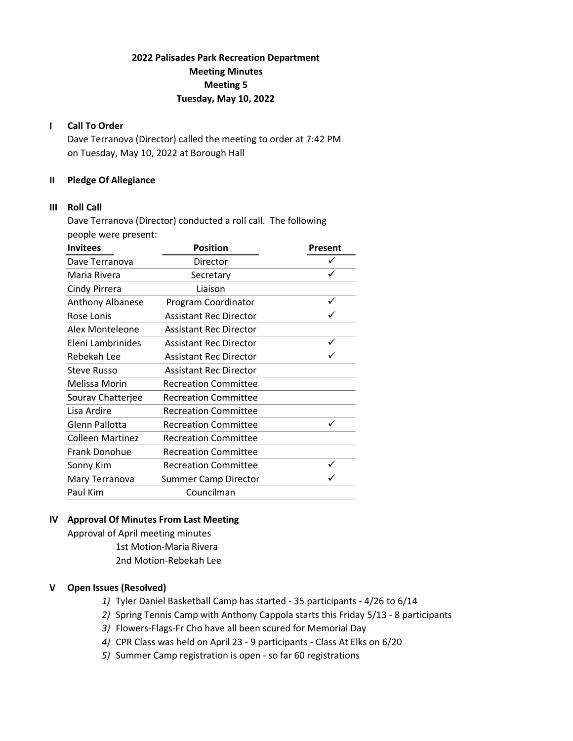# 2022 Palisades Park Recreation Department Meeting Minutes Meeting 5 Tuesday, May 10, 2022

# I Call To Order

Dave Terranova (Director) called the meeting to order at 7:42 PM on Tuesday, May 10, 2022 at Borough Hall

# II Pledge Of Allegiance

# III Roll Call

Dave Terranova (Director) conducted a roll call. The following people were present:

| <b>Invitees</b>         | <b>Position</b>               | Present |
|-------------------------|-------------------------------|---------|
| Dave Terranova          | Director                      |         |
| Maria Rivera            | Secretary                     | ✓       |
| Cindy Pirrera           | Liaison                       |         |
| <b>Anthony Albanese</b> | Program Coordinator           | ✓       |
| Rose Lonis              | <b>Assistant Rec Director</b> |         |
| Alex Monteleone         | <b>Assistant Rec Director</b> |         |
| Eleni Lambrinides       | <b>Assistant Rec Director</b> |         |
| Rebekah Lee             | <b>Assistant Rec Director</b> |         |
| <b>Steve Russo</b>      | <b>Assistant Rec Director</b> |         |
| Melissa Morin           | <b>Recreation Committee</b>   |         |
| Sourav Chatterjee       | <b>Recreation Committee</b>   |         |
| Lisa Ardire             | <b>Recreation Committee</b>   |         |
| Glenn Pallotta          | <b>Recreation Committee</b>   |         |
| <b>Colleen Martinez</b> | <b>Recreation Committee</b>   |         |
| Frank Donohue           | <b>Recreation Committee</b>   |         |
| Sonny Kim               | <b>Recreation Committee</b>   |         |
| Mary Terranova          | <b>Summer Camp Director</b>   |         |
| Paul Kim                | Councilman                    |         |

# IV Approval Of Minutes From Last Meeting

Approval of April meeting minutes 1st Motion-Maria Rivera 2nd Motion-Rebekah Lee

# V Open Issues (Resolved)

- 1) Tyler Daniel Basketball Camp has started 35 participants 4/26 to 6/14
- 2) Spring Tennis Camp with Anthony Cappola starts this Friday 5/13 8 participants
- 3) Flowers-Flags-Fr Cho have all been scured for Memorial Day
- 4) CPR Class was held on April 23 9 participants Class At Elks on 6/20
- 5) Summer Camp registration is open so far 60 registrations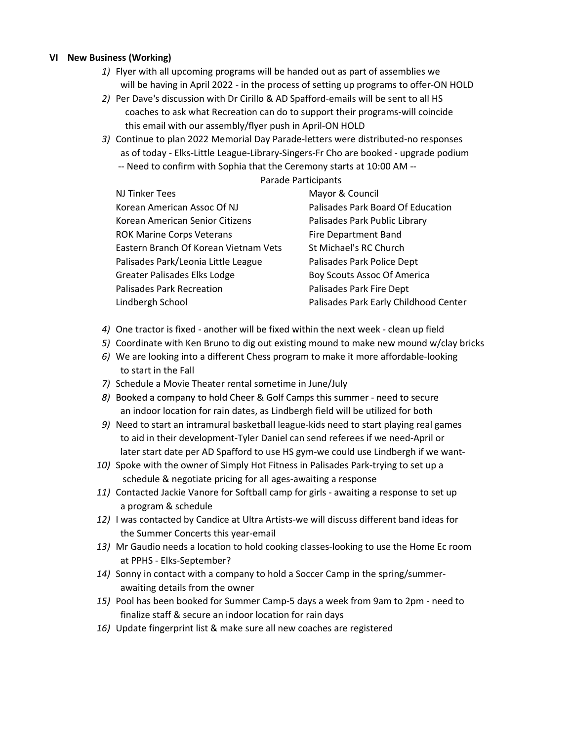# VI New Business (Working)

- 1) Flyer with all upcoming programs will be handed out as part of assemblies we will be having in April 2022 - in the process of setting up programs to offer-ON HOLD
- 2) Per Dave's discussion with Dr Cirillo & AD Spafford-emails will be sent to all HS coaches to ask what Recreation can do to support their programs-will coincide this email with our assembly/flyer push in April-ON HOLD
- 3) Continue to plan 2022 Memorial Day Parade-letters were distributed-no responses as of today - Elks-Little League-Library-Singers-Fr Cho are booked - upgrade podium -- Need to confirm with Sophia that the Ceremony starts at 10:00 AM --

#### Parade Participants

| <b>NJ Tinker Tees</b>                 | Mayor & Council                       |
|---------------------------------------|---------------------------------------|
| Korean American Assoc Of NJ           | Palisades Park Board Of Education     |
| Korean American Senior Citizens       | Palisades Park Public Library         |
| <b>ROK Marine Corps Veterans</b>      | Fire Department Band                  |
| Eastern Branch Of Korean Vietnam Vets | St Michael's RC Church                |
| Palisades Park/Leonia Little League   | Palisades Park Police Dept            |
| <b>Greater Palisades Elks Lodge</b>   | Boy Scouts Assoc Of America           |
| <b>Palisades Park Recreation</b>      | Palisades Park Fire Dept              |
| Lindbergh School                      | Palisades Park Early Childhood Center |

- 4) One tractor is fixed another will be fixed within the next week clean up field
- 5) Coordinate with Ken Bruno to dig out existing mound to make new mound w/clay bricks
- 6) We are looking into a different Chess program to make it more affordable-looking to start in the Fall
- 7) Schedule a Movie Theater rental sometime in June/July
- 8) Booked a company to hold Cheer & Golf Camps this summer need to secure an indoor location for rain dates, as Lindbergh field will be utilized for both
- 9) Need to start an intramural basketball league-kids need to start playing real games to aid in their development-Tyler Daniel can send referees if we need-April or later start date per AD Spafford to use HS gym-we could use Lindbergh if we want-
- 10) Spoke with the owner of Simply Hot Fitness in Palisades Park-trying to set up a schedule & negotiate pricing for all ages-awaiting a response
- 11) Contacted Jackie Vanore for Softball camp for girls awaiting a response to set up a program & schedule
- 12) I was contacted by Candice at Ultra Artists-we will discuss different band ideas for the Summer Concerts this year-email
- 13) Mr Gaudio needs a location to hold cooking classes-looking to use the Home Ec room at PPHS - Elks-September?
- 14) Sonny in contact with a company to hold a Soccer Camp in the spring/summer awaiting details from the owner
- 15) Pool has been booked for Summer Camp-5 days a week from 9am to 2pm need to finalize staff & secure an indoor location for rain days
- 16) Update fingerprint list & make sure all new coaches are registered